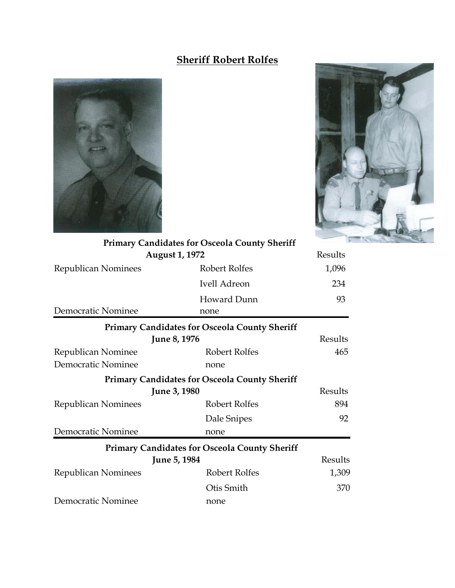## **Sheriff Robert Rolfes**





| <b>Primary Candidates for Osceola County Sheriff</b> |                                                      |         |
|------------------------------------------------------|------------------------------------------------------|---------|
|                                                      | <b>August 1, 1972</b>                                | Results |
| Republican Nominees                                  | Robert Rolfes                                        | 1,096   |
|                                                      | Ivell Adreon                                         | 234     |
|                                                      | Howard Dunn                                          | 93      |
| Democratic Nominee                                   | none                                                 |         |
|                                                      | <b>Primary Candidates for Osceola County Sheriff</b> |         |
| June 8, 1976                                         |                                                      | Results |
| Republican Nominee                                   | Robert Rolfes                                        | 465     |
| Democratic Nominee                                   | none                                                 |         |
|                                                      | <b>Primary Candidates for Osceola County Sheriff</b> |         |
| <b>June 3, 1980</b>                                  |                                                      | Results |
| <b>Republican Nominees</b>                           | Robert Rolfes                                        | 894     |
|                                                      | Dale Snipes                                          | 92      |
| Democratic Nominee                                   | none                                                 |         |
|                                                      | <b>Primary Candidates for Osceola County Sheriff</b> |         |
|                                                      | June 5, 1984                                         | Results |
| <b>Republican Nominees</b>                           | Robert Rolfes                                        | 1,309   |
|                                                      | Otis Smith                                           | 370     |
| Democratic Nominee                                   | none                                                 |         |